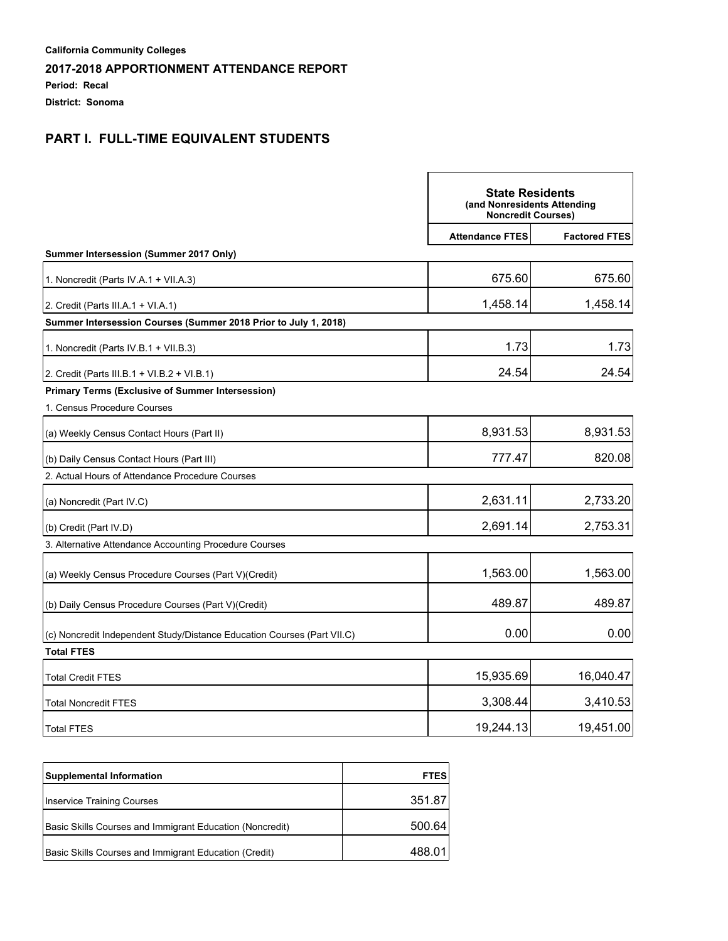**Period: Recal**

**District: Sonoma**

# **PART I. FULL-TIME EQUIVALENT STUDENTS**

|                                                                         | <b>State Residents</b><br>(and Nonresidents Attending<br><b>Noncredit Courses)</b> |                      |
|-------------------------------------------------------------------------|------------------------------------------------------------------------------------|----------------------|
|                                                                         | <b>Attendance FTES</b>                                                             | <b>Factored FTES</b> |
| Summer Intersession (Summer 2017 Only)                                  |                                                                                    |                      |
| 1. Noncredit (Parts IV.A.1 + VII.A.3)                                   | 675.60                                                                             | 675.60               |
| 2. Credit (Parts III.A.1 + VI.A.1)                                      | 1,458.14                                                                           | 1,458.14             |
| Summer Intersession Courses (Summer 2018 Prior to July 1, 2018)         |                                                                                    |                      |
| 1. Noncredit (Parts IV.B.1 + VII.B.3)                                   | 1.73                                                                               | 1.73                 |
| 2. Credit (Parts III.B.1 + VI.B.2 + VI.B.1)                             | 24.54                                                                              | 24.54                |
| Primary Terms (Exclusive of Summer Intersession)                        |                                                                                    |                      |
| 1. Census Procedure Courses                                             |                                                                                    |                      |
| (a) Weekly Census Contact Hours (Part II)                               | 8,931.53                                                                           | 8,931.53             |
| (b) Daily Census Contact Hours (Part III)                               | 777.47                                                                             | 820.08               |
| 2. Actual Hours of Attendance Procedure Courses                         |                                                                                    |                      |
| (a) Noncredit (Part IV.C)                                               | 2,631.11                                                                           | 2,733.20             |
| (b) Credit (Part IV.D)                                                  | 2,691.14                                                                           | 2,753.31             |
| 3. Alternative Attendance Accounting Procedure Courses                  |                                                                                    |                      |
| (a) Weekly Census Procedure Courses (Part V)(Credit)                    | 1,563.00                                                                           | 1,563.00             |
| (b) Daily Census Procedure Courses (Part V)(Credit)                     | 489.87                                                                             | 489.87               |
| (c) Noncredit Independent Study/Distance Education Courses (Part VII.C) | 0.00                                                                               | 0.00                 |
| <b>Total FTES</b>                                                       |                                                                                    |                      |
| <b>Total Credit FTES</b>                                                | 15,935.69                                                                          | 16,040.47            |
| <b>Total Noncredit FTES</b>                                             | 3,308.44                                                                           | 3,410.53             |
| <b>Total FTES</b>                                                       | 19,244.13                                                                          | 19,451.00            |

| <b>Supplemental Information</b>                          | <b>FTES</b> |
|----------------------------------------------------------|-------------|
| Inservice Training Courses                               | 351.87      |
| Basic Skills Courses and Immigrant Education (Noncredit) | 500.64      |
| Basic Skills Courses and Immigrant Education (Credit)    | 488.011     |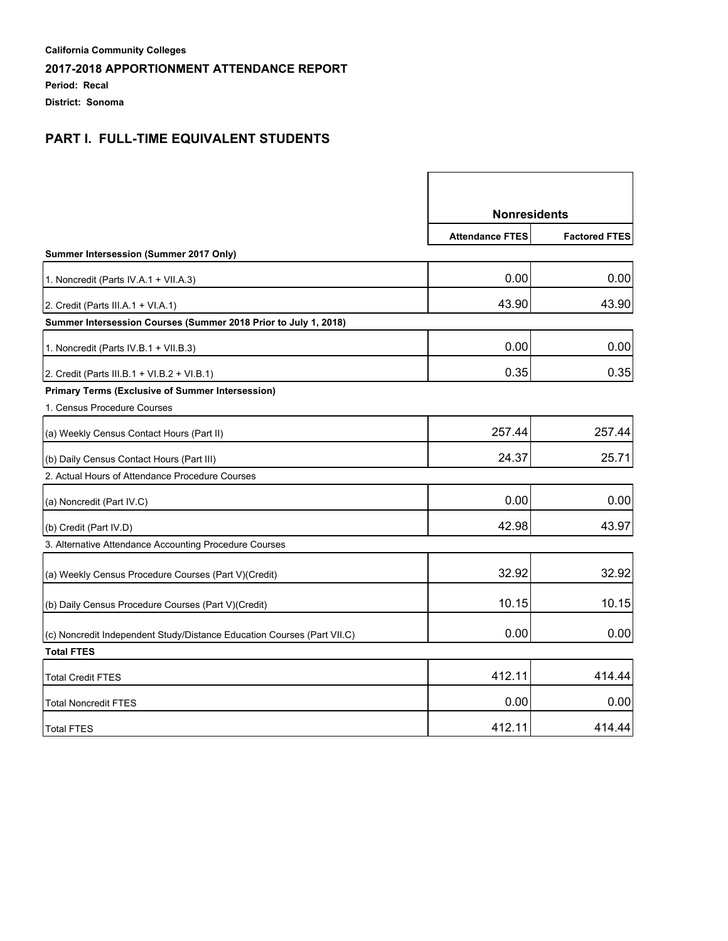**Period: Recal**

**District: Sonoma**

# **PART I. FULL-TIME EQUIVALENT STUDENTS**

|                                                                         | <b>Nonresidents</b>    |                      |
|-------------------------------------------------------------------------|------------------------|----------------------|
|                                                                         | <b>Attendance FTES</b> | <b>Factored FTES</b> |
| Summer Intersession (Summer 2017 Only)                                  |                        |                      |
| 1. Noncredit (Parts IV.A.1 + VII.A.3)                                   | 0.00                   | 0.00                 |
| 2. Credit (Parts III.A.1 + VI.A.1)                                      | 43.90                  | 43.90                |
| Summer Intersession Courses (Summer 2018 Prior to July 1, 2018)         |                        |                      |
| 1. Noncredit (Parts IV.B.1 + VII.B.3)                                   | 0.00                   | 0.00                 |
| 2. Credit (Parts III.B.1 + VI.B.2 + VI.B.1)                             | 0.35                   | 0.35                 |
| <b>Primary Terms (Exclusive of Summer Intersession)</b>                 |                        |                      |
| 1. Census Procedure Courses                                             |                        |                      |
| (a) Weekly Census Contact Hours (Part II)                               | 257.44                 | 257.44               |
| (b) Daily Census Contact Hours (Part III)                               | 24.37                  | 25.71                |
| 2. Actual Hours of Attendance Procedure Courses                         |                        |                      |
| (a) Noncredit (Part IV.C)                                               | 0.00                   | 0.00                 |
| (b) Credit (Part IV.D)                                                  | 42.98                  | 43.97                |
| 3. Alternative Attendance Accounting Procedure Courses                  |                        |                      |
| (a) Weekly Census Procedure Courses (Part V)(Credit)                    | 32.92                  | 32.92                |
| (b) Daily Census Procedure Courses (Part V)(Credit)                     | 10.15                  | 10.15                |
| (c) Noncredit Independent Study/Distance Education Courses (Part VII.C) | 0.00                   | 0.00                 |
| <b>Total FTES</b>                                                       |                        |                      |
| <b>Total Credit FTES</b>                                                | 412.11                 | 414.44               |
| <b>Total Noncredit FTES</b>                                             | 0.00                   | 0.00                 |
| <b>Total FTES</b>                                                       | 412.11                 | 414.44               |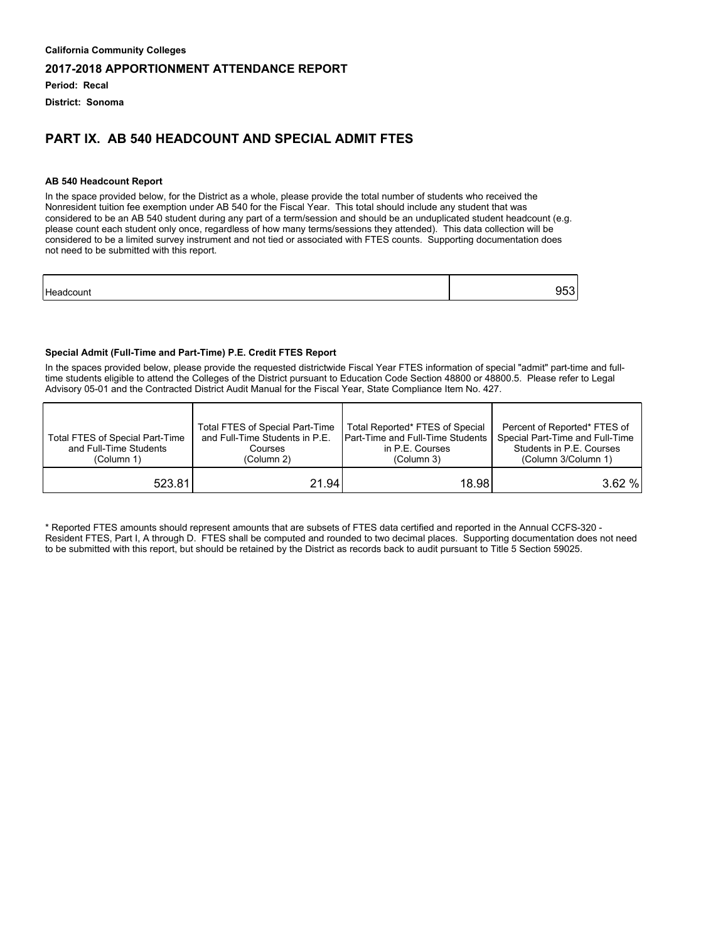**Period: Recal**

**District: Sonoma**

## **PART IX. AB 540 HEADCOUNT AND SPECIAL ADMIT FTES**

#### **AB 540 Headcount Report**

In the space provided below, for the District as a whole, please provide the total number of students who received the Nonresident tuition fee exemption under AB 540 for the Fiscal Year. This total should include any student that was considered to be an AB 540 student during any part of a term/session and should be an unduplicated student headcount (e.g. please count each student only once, regardless of how many terms/sessions they attended). This data collection will be considered to be a limited survey instrument and not tied or associated with FTES counts. Supporting documentation does not need to be submitted with this report.

| H۵<br>$\sim$ |  |
|--------------|--|
|              |  |

### **Special Admit (Full-Time and Part-Time) P.E. Credit FTES Report**

In the spaces provided below, please provide the requested districtwide Fiscal Year FTES information of special "admit" part-time and fulltime students eligible to attend the Colleges of the District pursuant to Education Code Section 48800 or 48800.5. Please refer to Legal Advisory 05-01 and the Contracted District Audit Manual for the Fiscal Year, State Compliance Item No. 427.

| Total FTES of Special Part-Time<br>and Full-Time Students<br>(Column 1) | <b>Total FTES of Special Part-Time</b><br>and Full-Time Students in P.E.<br>Courses<br>(Column 2) | Total Reported* FTES of Special<br><b>IPart-Time and Full-Time Students</b><br>in P.E. Courses<br>(Column 3) | Percent of Reported* FTES of<br>Special Part-Time and Full-Time<br>Students in P.E. Courses<br>(Column 3/Column 1) |
|-------------------------------------------------------------------------|---------------------------------------------------------------------------------------------------|--------------------------------------------------------------------------------------------------------------|--------------------------------------------------------------------------------------------------------------------|
| 523.81                                                                  | 21.94 <sub>1</sub>                                                                                | 18.98l                                                                                                       | 3.62%                                                                                                              |

\* Reported FTES amounts should represent amounts that are subsets of FTES data certified and reported in the Annual CCFS-320 - Resident FTES, Part I, A through D. FTES shall be computed and rounded to two decimal places. Supporting documentation does not need to be submitted with this report, but should be retained by the District as records back to audit pursuant to Title 5 Section 59025.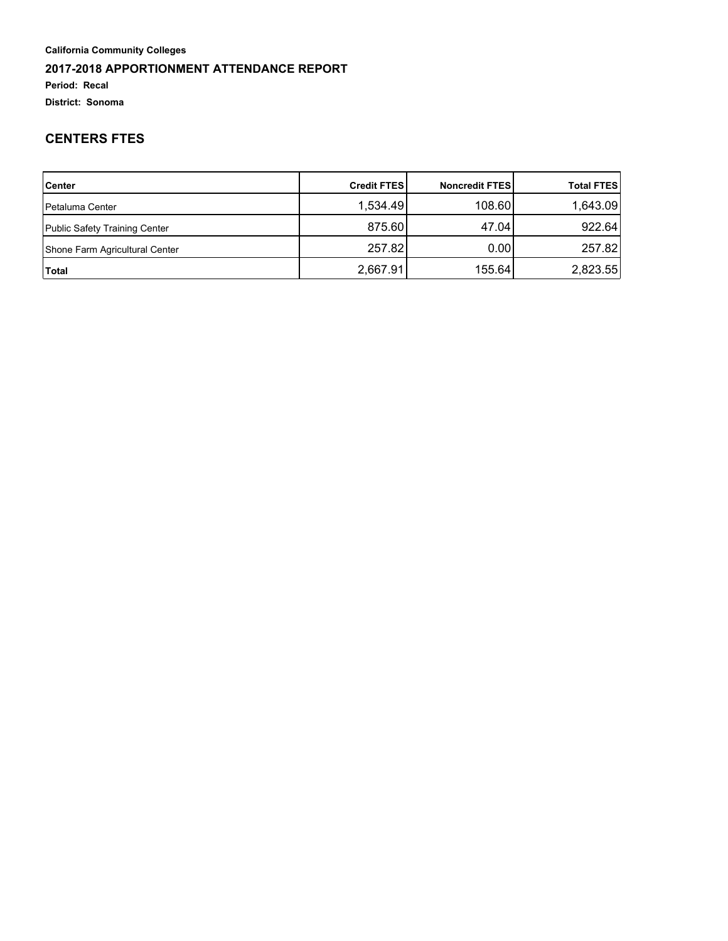### **Period: Recal**

**District: Sonoma**

## **CENTERS FTES**

| <b>Center</b>                  | <b>Credit FTESI</b> | <b>Noncredit FTES</b> | <b>Total FTES</b> |
|--------------------------------|---------------------|-----------------------|-------------------|
| <b>Petaluma Center</b>         | 1,534.49            | 108.60                | 1,643.09          |
| Public Safety Training Center  | 875.60              | 47.04                 | 922.64            |
| Shone Farm Agricultural Center | 257.82              | 0.001                 | 257.82            |
| Total                          | 2,667.91            | 155.64                | 2,823.55          |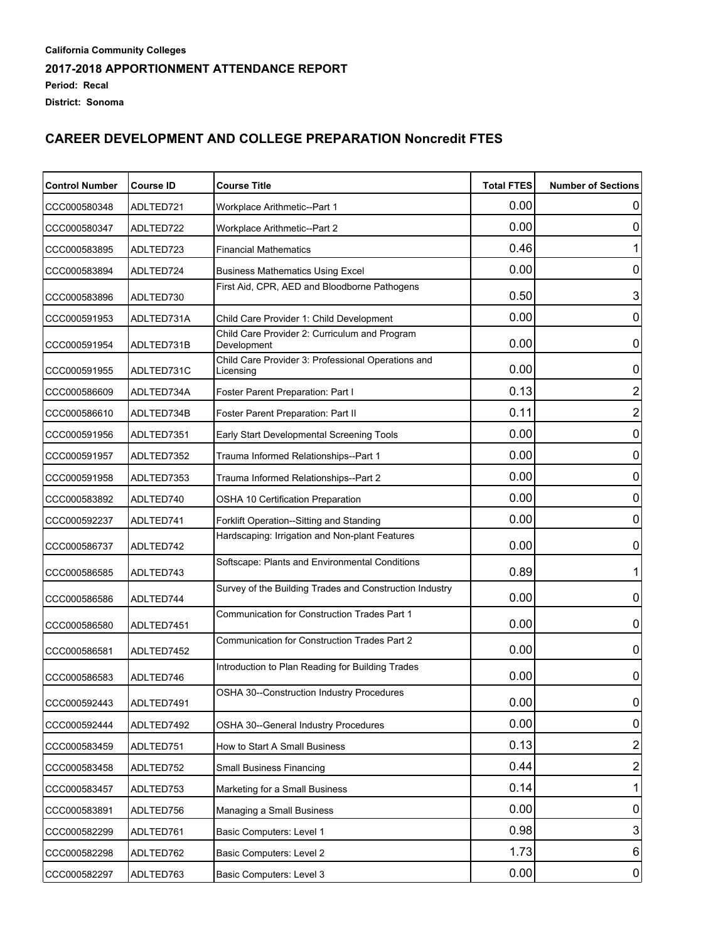**District: Sonoma**

# **CAREER DEVELOPMENT AND COLLEGE PREPARATION Noncredit FTES**

| <b>Control Number</b> | <b>Course ID</b> | <b>Course Title</b>                                             |      | <b>Number of Sections</b> |
|-----------------------|------------------|-----------------------------------------------------------------|------|---------------------------|
| CCC000580348          | ADLTED721        | Workplace Arithmetic--Part 1                                    | 0.00 | 0                         |
| CCC000580347          | ADLTED722        | <b>Workplace Arithmetic--Part 2</b>                             | 0.00 | 0                         |
| CCC000583895          | ADLTED723        | <b>Financial Mathematics</b>                                    | 0.46 | 1                         |
| CCC000583894          | ADLTED724        | <b>Business Mathematics Using Excel</b>                         | 0.00 | 0                         |
| CCC000583896          | ADLTED730        | First Aid, CPR, AED and Bloodborne Pathogens                    | 0.50 | $\mathsf 3$               |
| CCC000591953          | ADLTED731A       | Child Care Provider 1: Child Development                        | 0.00 | $\mathbf 0$               |
| CCC000591954          | ADLTED731B       | Child Care Provider 2: Curriculum and Program<br>Development    | 0.00 | $\pmb{0}$                 |
| CCC000591955          | ADLTED731C       | Child Care Provider 3: Professional Operations and<br>Licensing | 0.00 | 0                         |
| CCC000586609          | ADLTED734A       | Foster Parent Preparation: Part I                               | 0.13 | 2                         |
| CCC000586610          | ADLTED734B       | Foster Parent Preparation: Part II                              | 0.11 | $\overline{c}$            |
| CCC000591956          | ADLTED7351       | Early Start Developmental Screening Tools                       | 0.00 | 0                         |
| CCC000591957          | ADLTED7352       | Trauma Informed Relationships--Part 1                           | 0.00 | 0                         |
| CCC000591958          | ADLTED7353       | Trauma Informed Relationships--Part 2                           | 0.00 | 0                         |
| CCC000583892          | ADLTED740        | OSHA 10 Certification Preparation                               | 0.00 | 0                         |
| CCC000592237          | ADLTED741        | Forklift Operation--Sitting and Standing                        | 0.00 | 0                         |
| CCC000586737          | ADLTED742        | Hardscaping: Irrigation and Non-plant Features                  | 0.00 | 0                         |
| CCC000586585          | ADLTED743        | Softscape: Plants and Environmental Conditions                  | 0.89 | 1                         |
| CCC000586586          | ADLTED744        | Survey of the Building Trades and Construction Industry         | 0.00 | $\pmb{0}$                 |
| CCC000586580          | ADLTED7451       | Communication for Construction Trades Part 1                    | 0.00 | $\mathbf 0$               |
| CCC000586581          | ADLTED7452       | <b>Communication for Construction Trades Part 2</b>             | 0.00 | $\boldsymbol{0}$          |
| CCC000586583          | ADLTED746        | Introduction to Plan Reading for Building Trades                | 0.00 | 0                         |
| CCC000592443          | ADLTED7491       | OSHA 30--Construction Industry Procedures                       | 0.00 | $\Omega$                  |
| CCC000592444          | ADLTED7492       | OSHA 30--General Industry Procedures                            | 0.00 | $\boldsymbol{0}$          |
| CCC000583459          | ADLTED751        | How to Start A Small Business                                   | 0.13 | $\overline{c}$            |
| CCC000583458          | ADLTED752        | <b>Small Business Financing</b>                                 | 0.44 | $\overline{c}$            |
| CCC000583457          | ADLTED753        | Marketing for a Small Business                                  | 0.14 | 1                         |
| CCC000583891          | ADLTED756        | Managing a Small Business                                       | 0.00 | $\boldsymbol{0}$          |
| CCC000582299          | ADLTED761        | Basic Computers: Level 1                                        | 0.98 | $\ensuremath{\mathsf{3}}$ |
| CCC000582298          | ADLTED762        | Basic Computers: Level 2                                        | 1.73 | $6 \,$                    |
| CCC000582297          | ADLTED763        | Basic Computers: Level 3                                        | 0.00 | $\overline{0}$            |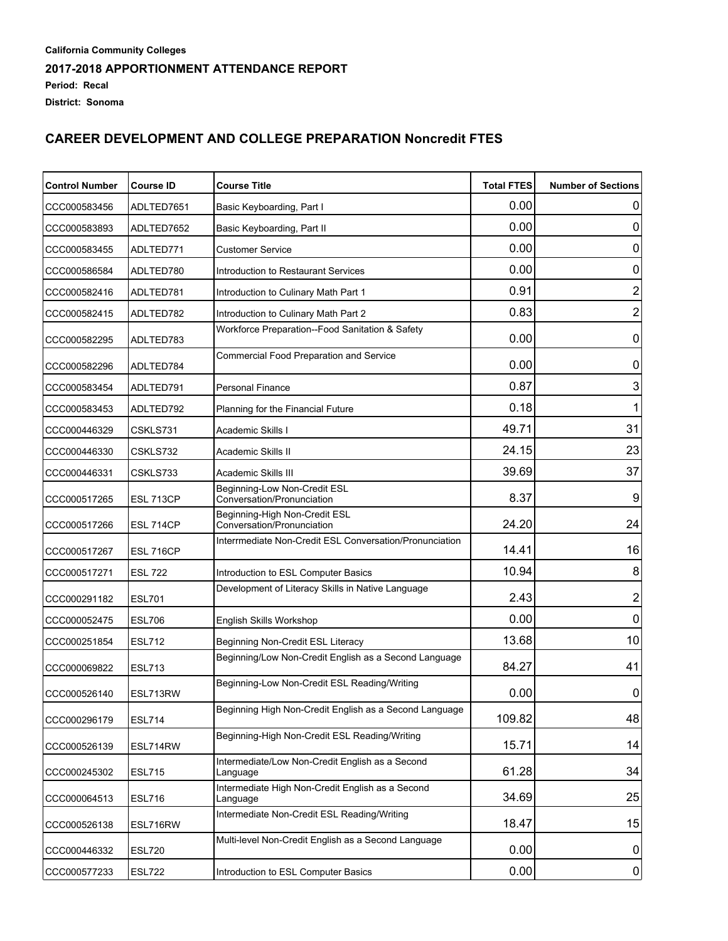**District: Sonoma**

# **CAREER DEVELOPMENT AND COLLEGE PREPARATION Noncredit FTES**

| <b>Control Number</b> | <b>Course ID</b> | <b>Course Title</b>                                          | <b>Total FTES</b> | <b>Number of Sections</b> |
|-----------------------|------------------|--------------------------------------------------------------|-------------------|---------------------------|
| CCC000583456          | ADLTED7651       | Basic Keyboarding, Part I                                    | 0.00              | 0                         |
| CCC000583893          | ADLTED7652       | Basic Keyboarding, Part II                                   | 0.00              | 0                         |
| CCC000583455          | ADLTED771        | <b>Customer Service</b>                                      | 0.00              | 0                         |
| CCC000586584          | ADLTED780        | Introduction to Restaurant Services                          | 0.00              | 0                         |
| CCC000582416          | ADLTED781        | Introduction to Culinary Math Part 1                         | 0.91              | 2                         |
| CCC000582415          | ADLTED782        | Introduction to Culinary Math Part 2                         | 0.83              | $\overline{c}$            |
| CCC000582295          | ADLTED783        | Workforce Preparation--Food Sanitation & Safety              | 0.00              | 0                         |
| CCC000582296          | ADLTED784        | Commercial Food Preparation and Service                      | 0.00              | 0                         |
| CCC000583454          | ADLTED791        | Personal Finance                                             | 0.87              | 3                         |
| CCC000583453          | ADLTED792        | Planning for the Financial Future                            | 0.18              | 1                         |
| CCC000446329          | CSKLS731         | Academic Skills I                                            | 49.71             | 31                        |
| CCC000446330          | CSKLS732         | Academic Skills II                                           | 24.15             | 23                        |
| CCC000446331          | CSKLS733         | Academic Skills III                                          | 39.69             | 37                        |
| CCC000517265          | ESL 713CP        | Beginning-Low Non-Credit ESL<br>Conversation/Pronunciation   | 8.37              | 9                         |
| CCC000517266          | ESL 714CP        | Beginning-High Non-Credit ESL<br>Conversation/Pronunciation  | 24.20             | 24                        |
| CCC000517267          | ESL 716CP        | Interrmediate Non-Credit ESL Conversation/Pronunciation      | 14.41             | 16                        |
| CCC000517271          | <b>ESL 722</b>   | Introduction to ESL Computer Basics                          | 10.94             | 8                         |
| CCC000291182          | <b>ESL701</b>    | Development of Literacy Skills in Native Language            | 2.43              | $\overline{2}$            |
| CCC000052475          | <b>ESL706</b>    | English Skills Workshop                                      | 0.00              | 0                         |
| CCC000251854          | <b>ESL712</b>    | Beginning Non-Credit ESL Literacy                            | 13.68             | 10                        |
| CCC000069822          | <b>ESL713</b>    | Beginning/Low Non-Credit English as a Second Language        | 84.27             | 41                        |
| CCC000526140          | ESL713RW         | Beginning-Low Non-Credit ESL Reading/Writing                 | 0.00              | 0                         |
| CCC000296179          | ESL714           | Beginning High Non-Credit English as a Second Language       | 109.82            | 48                        |
| CCC000526139          | ESL714RW         | Beginning-High Non-Credit ESL Reading/Writing                | 15.71             | 14                        |
| CCC000245302          | <b>ESL715</b>    | Intermediate/Low Non-Credit English as a Second<br>Language  | 61.28             | 34                        |
| CCC000064513          | <b>ESL716</b>    | Intermediate High Non-Credit English as a Second<br>Language | 34.69             | 25                        |
| CCC000526138          | ESL716RW         | Intermediate Non-Credit ESL Reading/Writing                  | 18.47             | 15                        |
| CCC000446332          | <b>ESL720</b>    | Multi-level Non-Credit English as a Second Language          | 0.00              | 0                         |
| CCC000577233          | <b>ESL722</b>    | Introduction to ESL Computer Basics                          | 0.00              | $\overline{0}$            |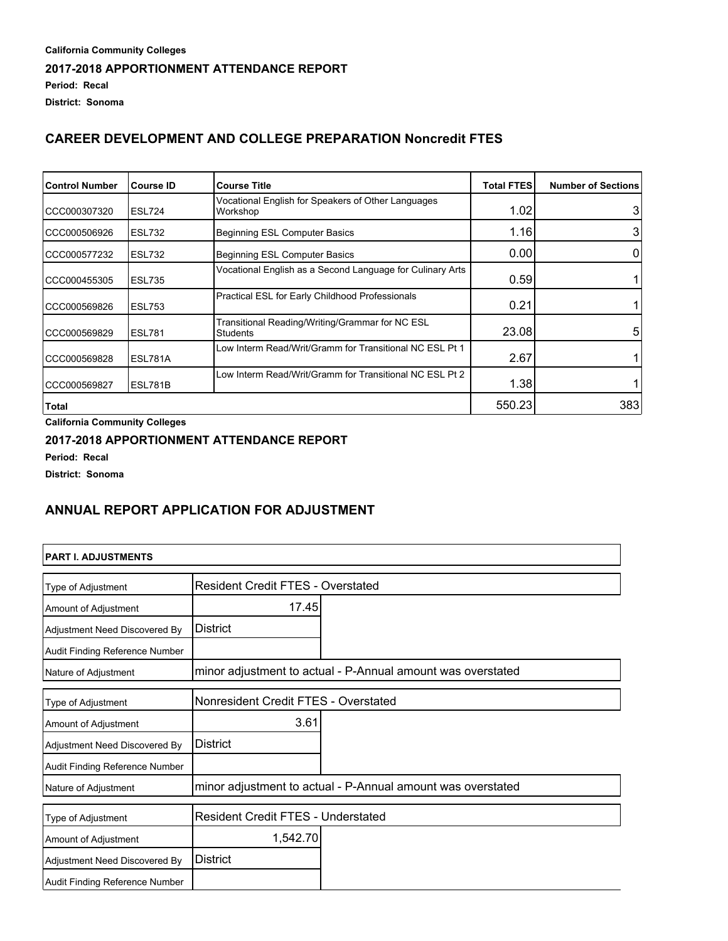## **CAREER DEVELOPMENT AND COLLEGE PREPARATION Noncredit FTES**

| <b>Control Number</b> | <b>Course ID</b> | <b>Course Title</b>                                            | <b>Total FTES</b> | <b>Number of Sections</b> |
|-----------------------|------------------|----------------------------------------------------------------|-------------------|---------------------------|
| CCC000307320          | <b>ESL724</b>    | Vocational English for Speakers of Other Languages<br>Workshop | 1.02              | 3                         |
| CCC000506926          | <b>ESL732</b>    | Beginning ESL Computer Basics                                  | 1.16              | 3                         |
| CCC000577232          | ESL732           | <b>Beginning ESL Computer Basics</b>                           | 0.00              | 0                         |
| CCC000455305          | <b>ESL735</b>    | Vocational English as a Second Language for Culinary Arts      | 0.59              |                           |
| CCC000569826          | ESL753           | Practical ESL for Early Childhood Professionals                | 0.21              |                           |
| CCC000569829          | <b>ESL781</b>    | Transitional Reading/Writing/Grammar for NC ESL<br>Students    | 23.08             | 5 <sub>1</sub>            |
| CCC000569828          | <b>ESL781A</b>   | Low Interm Read/Writ/Gramm for Transitional NC ESL Pt 1        | 2.67              |                           |
| CCC000569827          | ESL781B          | Low Interm Read/Writ/Gramm for Transitional NC ESL Pt 2        | 1.38              |                           |
| Total                 |                  |                                                                | 550.23            | 383                       |

**California Community Colleges**

### **2017-2018 APPORTIONMENT ATTENDANCE REPORT**

**Period: Recal**

**District: Sonoma**

## **ANNUAL REPORT APPLICATION FOR ADJUSTMENT**

| <b>PART I. ADJUSTMENTS</b> |
|----------------------------|
|                            |

| <b>Type of Adjustment</b>      | <b>Resident Credit FTES - Overstated</b>                    |                                                             |  |
|--------------------------------|-------------------------------------------------------------|-------------------------------------------------------------|--|
| Amount of Adjustment           | 17.45                                                       |                                                             |  |
| Adjustment Need Discovered By  | <b>District</b>                                             |                                                             |  |
| Audit Finding Reference Number |                                                             |                                                             |  |
| Nature of Adjustment           |                                                             | minor adjustment to actual - P-Annual amount was overstated |  |
| <b>Type of Adjustment</b>      | Nonresident Credit FTES - Overstated                        |                                                             |  |
| Amount of Adjustment           | 3.61                                                        |                                                             |  |
| Adjustment Need Discovered By  | <b>District</b>                                             |                                                             |  |
| Audit Finding Reference Number |                                                             |                                                             |  |
| Nature of Adjustment           | minor adjustment to actual - P-Annual amount was overstated |                                                             |  |
| <b>Type of Adjustment</b>      | <b>Resident Credit FTES - Understated</b>                   |                                                             |  |
| Amount of Adjustment           | 1,542.70                                                    |                                                             |  |
| Adjustment Need Discovered By  | District                                                    |                                                             |  |
| Audit Finding Reference Number |                                                             |                                                             |  |